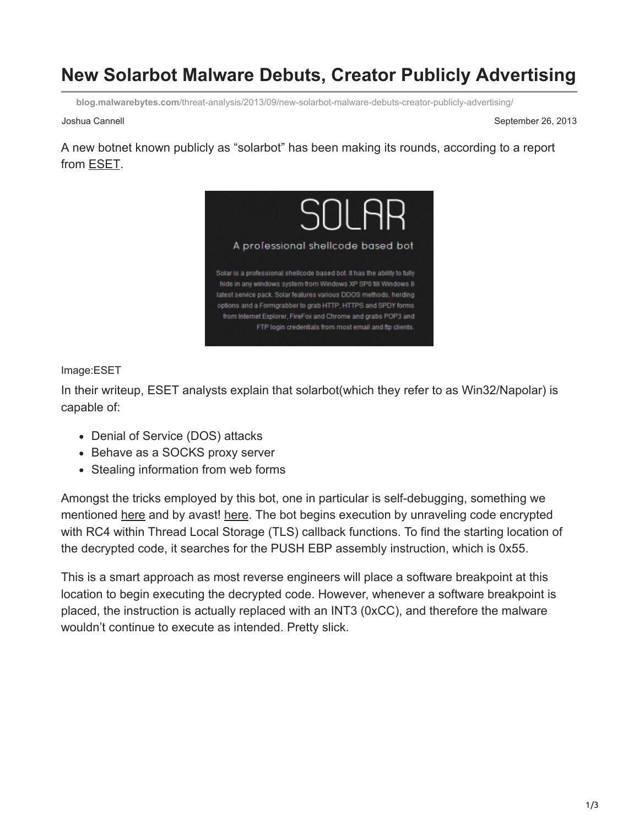## **New Solarbot Malware Debuts, Creator Publicly Advertising**

**blog.malwarebytes.com**[/threat-analysis/2013/09/new-solarbot-malware-debuts-creator-publicly-advertising/](https://blog.malwarebytes.com/threat-analysis/2013/09/new-solarbot-malware-debuts-creator-publicly-advertising/)

Joshua Cannell September 26, 2013

A new botnet known publicly as "solarbot" has been making its rounds, according to a report from [ESET](http://www.welivesecurity.com/2013/09/25/win32napolar-a-new-bot-on-the-block/).



## Image:ESET

In their writeup, ESET analysts explain that solarbot(which they refer to as Win32/Napolar) is capable of:

- Denial of Service (DOS) attacks
- Behave as a SOCKS proxy server
- Stealing information from web forms

Amongst the tricks employed by this bot, one in particular is self-debugging, something we mentioned [here](http://blog.malwarebytes.org/intelligence/2013/07/zeroaccess-anti-debug-uses-debugger/) and by avast! [here](https://blog.avast.com/2013/05/29/analysis-of-a-self-debugging-sirefef-cryptor/). The bot begins execution by unraveling code encrypted with RC4 within Thread Local Storage (TLS) callback functions. To find the starting location of the decrypted code, it searches for the PUSH EBP assembly instruction, which is 0x55.

This is a smart approach as most reverse engineers will place a software breakpoint at this location to begin executing the decrypted code. However, whenever a software breakpoint is placed, the instruction is actually replaced with an INT3 (0xCC), and therefore the malware wouldn't continue to execute as intended. Pretty slick.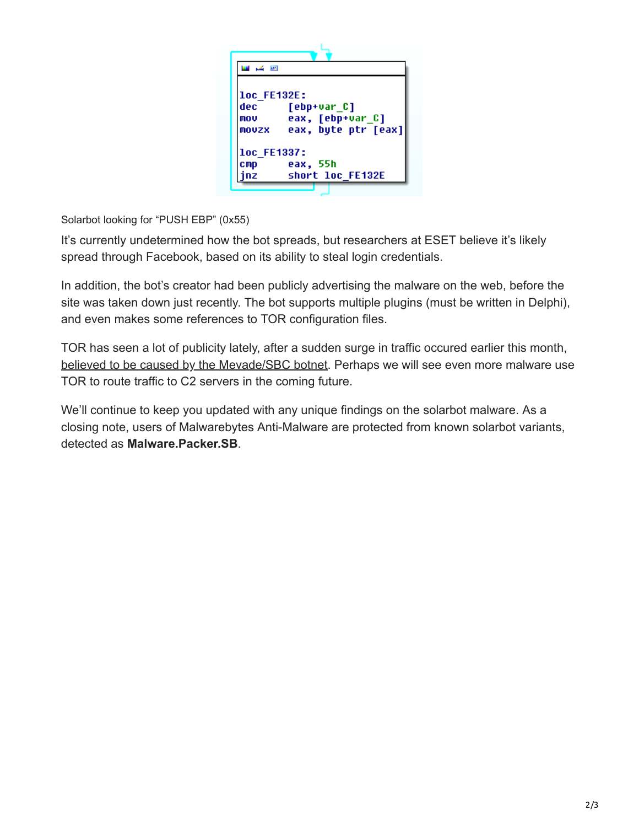

Solarbot looking for "PUSH EBP" (0x55)

It's currently undetermined how the bot spreads, but researchers at ESET believe it's likely spread through Facebook, based on its ability to steal login credentials.

In addition, the bot's creator had been publicly advertising the malware on the web, before the site was taken down just recently. The bot supports multiple plugins (must be written in Delphi), and even makes some references to TOR configuration files.

TOR has seen a lot of publicity lately, after a sudden surge in traffic occured earlier this month, [believed to be caused by the Mevade/SBC botnet](http://blog.malwarebytes.org/whats-in-the-news/2013/09/sbc-botnet-to-blame-for-tor-traffic-surge/). Perhaps we will see even more malware use TOR to route traffic to C2 servers in the coming future.

We'll continue to keep you updated with any unique findings on the solarbot malware. As a closing note, users of Malwarebytes Anti-Malware are protected from known solarbot variants, detected as **Malware.Packer.SB**.